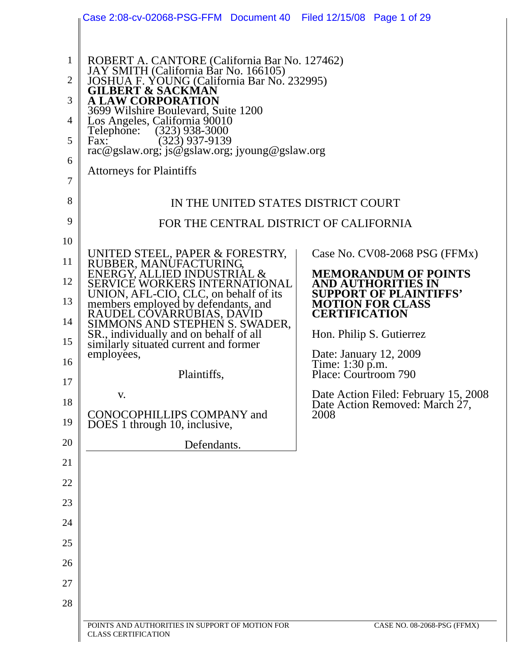|              | Case 2:08-cv-02068-PSG-FFM Document 40 Filed 12/15/08 Page 1 of 29                     |                                                                        |
|--------------|----------------------------------------------------------------------------------------|------------------------------------------------------------------------|
|              |                                                                                        |                                                                        |
| $\mathbf{1}$ | ROBERT A. CANTORE (California Bar No. 127462)<br>JAY SMITH (California Bar No. 166105) |                                                                        |
| 2            | JOSHUA F. YOUNG (California Bar No. 232995)<br><b>GILBERT &amp; SACKMAN</b>            |                                                                        |
| 3            | <b>A LAW CORPORATION</b><br>3699 Wilshire Boulevard, Suite 1200                        |                                                                        |
| 4            | Los Angeles, California 90010<br>Telephone: (323) 938-3000                             |                                                                        |
| 5            | $(323)$ 937-9139<br>Fax:<br>rac@gslaw.org; js@gslaw.org; jyoung@gslaw.org              |                                                                        |
| 6            | <b>Attorneys for Plaintiffs</b>                                                        |                                                                        |
| 7            |                                                                                        |                                                                        |
| 8            | IN THE UNITED STATES DISTRICT COURT                                                    |                                                                        |
| 9            | FOR THE CENTRAL DISTRICT OF CALIFORNIA                                                 |                                                                        |
| 10           | UNITED STEEL, PAPER & FORESTRY,                                                        | Case No. $CV08-2068$ PSG (FFMx)                                        |
| 11           | RUBBER, MANUFACTURING,<br>ENERGY, ALLIED INDUSTRIAL &                                  | <b>MEMORANDUM OF POINTS</b>                                            |
| 12           | <b>SERVICE WORKERS INTERNATIONAL</b><br>UNION, AFL-CIO, CLC, on behalf of its          | AND AUTHORITIES IN<br><b>SUPPORT OF PLAINTIFFS'</b>                    |
| 13           | members employed by defendants, and<br>RAUDEL COVARRUBIAS, DAVID                       | <b>MOTION FOR CLASS</b><br><b>CERTIFICATION</b>                        |
| 14<br>15     | SIMMONS AND STEPHEN S. SWADER,<br>SR., individually and on behalf of all               | Hon. Philip S. Gutierrez                                               |
| 16           | similarly situated current and former<br>employees,                                    | Date: January 12, 2009                                                 |
| 17           | Plaintiffs,                                                                            | Time: 1:30 p.m.<br>Place: Courtroom 790                                |
| 18           | V.                                                                                     | Date Action Filed: February 15, 2008<br>Date Action Removed: March 27, |
| 19           | CONOCOPHILLIPS COMPANY and<br>DOES 1 through 10, inclusive,                            | 2008                                                                   |
| 20           | Defendants.                                                                            |                                                                        |
| 21           |                                                                                        |                                                                        |
| 22           |                                                                                        |                                                                        |
| 23           |                                                                                        |                                                                        |
| 24           |                                                                                        |                                                                        |
| 25           |                                                                                        |                                                                        |
| 26           |                                                                                        |                                                                        |
| 27           |                                                                                        |                                                                        |
| 28           |                                                                                        |                                                                        |
|              | POINTS AND AUTHORITIES IN SUPPORT OF MOTION FOR<br><b>CLASS CERTIFICATION</b>          | CASE NO. 08-2068-PSG (FFMX)                                            |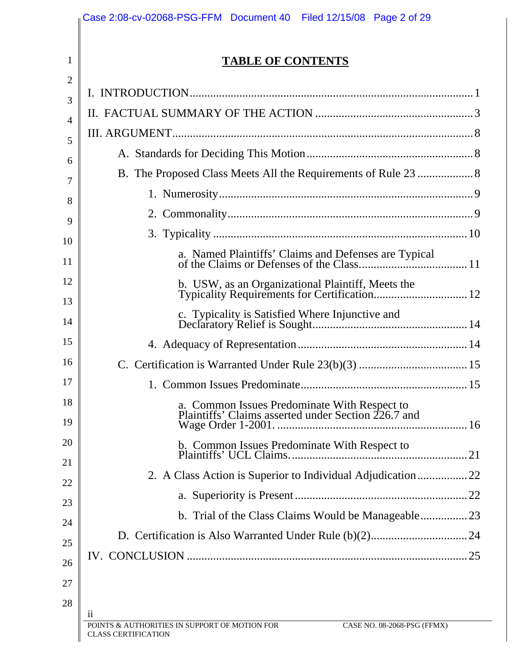|    | <b>TABLE OF CONTENTS</b>                                                                            |  |
|----|-----------------------------------------------------------------------------------------------------|--|
|    |                                                                                                     |  |
|    |                                                                                                     |  |
|    |                                                                                                     |  |
|    |                                                                                                     |  |
|    |                                                                                                     |  |
|    |                                                                                                     |  |
|    |                                                                                                     |  |
|    |                                                                                                     |  |
|    |                                                                                                     |  |
|    |                                                                                                     |  |
|    |                                                                                                     |  |
|    |                                                                                                     |  |
|    |                                                                                                     |  |
|    |                                                                                                     |  |
|    | a. Common Issues Predominate With Respect to<br>Plaintiffs' Claims asserted under Section 226.7 and |  |
|    |                                                                                                     |  |
|    |                                                                                                     |  |
|    |                                                                                                     |  |
|    |                                                                                                     |  |
|    |                                                                                                     |  |
|    |                                                                                                     |  |
|    |                                                                                                     |  |
| 11 |                                                                                                     |  |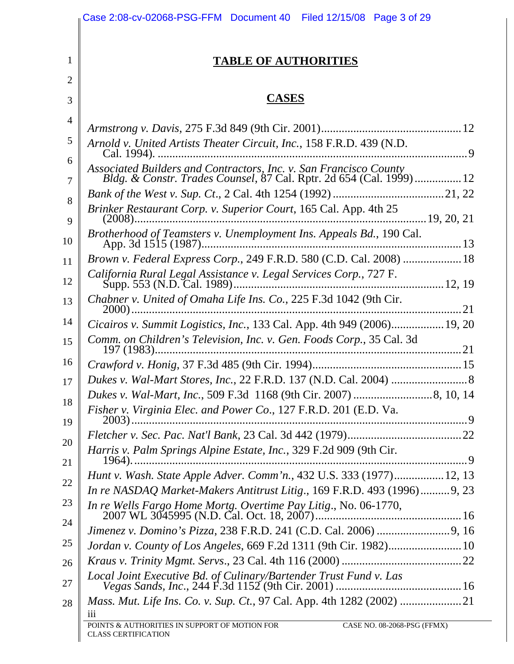|                | Case 2:08-cv-02068-PSG-FFM Document 40 Filed 12/15/08 Page 3 of 29                                                                       |
|----------------|------------------------------------------------------------------------------------------------------------------------------------------|
| $\mathbf{1}$   | <b>TABLE OF AUTHORITIES</b>                                                                                                              |
| $\overline{2}$ |                                                                                                                                          |
| 3              | <b>CASES</b>                                                                                                                             |
| 4              |                                                                                                                                          |
| 5              | Arnold v. United Artists Theater Circuit, Inc., 158 F.R.D. 439 (N.D.                                                                     |
| 6<br>7         | Associated Builders and Contractors, Inc. v. San Francisco County<br>Bldg. & Constr. Trades Counsel, 87 Cal. Rptr. 2d 654 (Cal. 1999) 12 |
|                |                                                                                                                                          |
| 8<br>9         | Brinker Restaurant Corp. v. Superior Court, 165 Cal. App. 4th 25                                                                         |
| 10             | Brotherhood of Teamsters v. Unemployment Ins. Appeals Bd., 190 Cal.                                                                      |
| 11             | Brown v. Federal Express Corp., 249 F.R.D. 580 (C.D. Cal. 2008)  18                                                                      |
| 12             | California Rural Legal Assistance v. Legal Services Corp., 727 F.                                                                        |
| 13             | Chabner v. United of Omaha Life Ins. Co., 225 F.3d 1042 (9th Cir.                                                                        |
| 14             | Cicairos v. Summit Logistics, Inc., 133 Cal. App. 4th 949 (2006) 19, 20                                                                  |
| 15             | Comm. on Children's Television, Inc. v. Gen. Foods Corp., 35 Cal. 3d                                                                     |
| 16             |                                                                                                                                          |
| 17             |                                                                                                                                          |
| 18             |                                                                                                                                          |
| 19             | Fisher v. Virginia Elec. and Power Co., 127 F.R.D. 201 (E.D. Va.                                                                         |
| 20             |                                                                                                                                          |
| 21             | Harris v. Palm Springs Alpine Estate, Inc., 329 F.2d 909 (9th Cir.<br>$1964)$                                                            |
| 22             | Hunt v. Wash. State Apple Adver. Comm'n., 432 U.S. 333 (1977) 12, 13                                                                     |
|                | In re NASDAQ Market-Makers Antitrust Litig., 169 F.R.D. 493 (1996)9, 23                                                                  |
| 23<br>24       |                                                                                                                                          |
|                |                                                                                                                                          |
| 25             | Jordan v. County of Los Angeles, 669 F.2d 1311 (9th Cir. 1982) 10                                                                        |
| 26             |                                                                                                                                          |
| 27             |                                                                                                                                          |
| 28             | 111                                                                                                                                      |
|                | POINTS & AUTHORITIES IN SUPPORT OF MOTION FOR<br>CASE NO. 08-2068-PSG (FFMX)<br><b>CLASS CERTIFICATION</b>                               |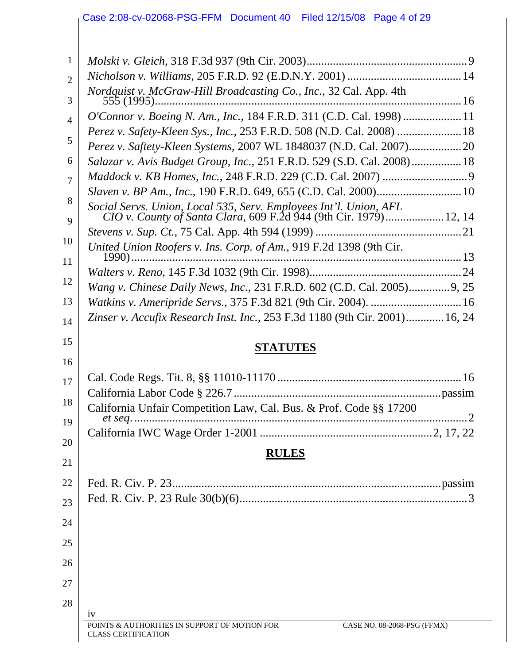#### Case 2:08-cv-02068-PSG-FFM Document 40 Filed 12/15/08 Page 4 of 29

| $\mathbf{1}$   |                                                                                                                                        |  |
|----------------|----------------------------------------------------------------------------------------------------------------------------------------|--|
| $\overline{2}$ |                                                                                                                                        |  |
| 3              | Nordquist v. McGraw-Hill Broadcasting Co., Inc., 32 Cal. App. 4th                                                                      |  |
| $\overline{4}$ | O'Connor v. Boeing N. Am., Inc., 184 F.R.D. 311 (C.D. Cal. 1998)  11                                                                   |  |
|                | Perez v. Safety-Kleen Sys., Inc., 253 F.R.D. 508 (N.D. Cal. 2008)  18                                                                  |  |
| 5              |                                                                                                                                        |  |
| 6              | Salazar v. Avis Budget Group, Inc., 251 F.R.D. 529 (S.D. Cal. 2008) 18                                                                 |  |
| 7              |                                                                                                                                        |  |
| 8              |                                                                                                                                        |  |
| 9              | Social Servs. Union, Local 535, Serv. Employees Int'l. Union, AFL<br>CIO v. County of Santa Clara, 609 F.2d 944 (9th Cir. 1979) 12, 14 |  |
|                |                                                                                                                                        |  |
| 10<br>11       | United Union Roofers v. Ins. Corp. of Am., 919 F.2d 1398 (9th Cir.                                                                     |  |
|                |                                                                                                                                        |  |
| 12             | Wang v. Chinese Daily News, Inc., 231 F.R.D. 602 (C.D. Cal. 2005)9, 25                                                                 |  |
| 13             | Watkins v. Ameripride Servs., 375 F.3d 821 (9th Cir. 2004).  16                                                                        |  |
| 14             | Zinser v. Accufix Research Inst. Inc., 253 F.3d 1180 (9th Cir. 2001) 16, 24                                                            |  |
| 15             | <b>STATUTES</b>                                                                                                                        |  |
| 16             |                                                                                                                                        |  |
| 17             |                                                                                                                                        |  |
| 18             | California Unfair Competition Law, Cal. Bus. & Prof. Code §§ 17200                                                                     |  |
| 19             |                                                                                                                                        |  |
| 20             |                                                                                                                                        |  |
| 21             | <b>RULES</b>                                                                                                                           |  |
| 22             |                                                                                                                                        |  |
| 23             |                                                                                                                                        |  |
| 24             |                                                                                                                                        |  |
| 25             |                                                                                                                                        |  |
| 26             |                                                                                                                                        |  |
| 27             |                                                                                                                                        |  |
|                |                                                                                                                                        |  |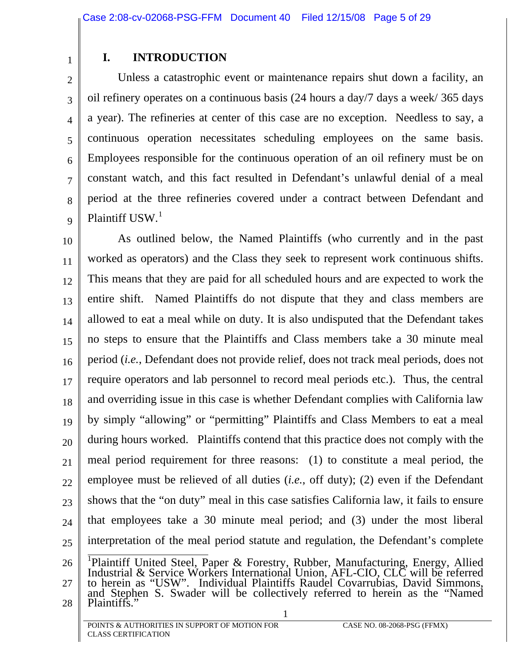## **I. INTRODUCTION**

<span id="page-4-0"></span>1

5

7

2 3 4 6 8 9 Unless a catastrophic event or maintenance repairs shut down a facility, an oil refinery operates on a continuous basis (24 hours a day/7 days a week/ 365 days a year). The refineries at center of this case are no exception. Needless to say, a continuous operation necessitates scheduling employees on the same basis. Employees responsible for the continuous operation of an oil refinery must be on constant watch, and this fact resulted in Defendant's unlawful denial of a meal period at the three refineries covered under a contract between Defendant and Plaintiff USW.<sup>[1](#page-4-1)</sup>

10 11 12 13 14 15 16 17 18 19 20 21 22 23 24 25 26 As outlined below, the Named Plaintiffs (who currently and in the past worked as operators) and the Class they seek to represent work continuous shifts. This means that they are paid for all scheduled hours and are expected to work the entire shift. Named Plaintiffs do not dispute that they and class members are allowed to eat a meal while on duty. It is also undisputed that the Defendant takes no steps to ensure that the Plaintiffs and Class members take a 30 minute meal period (*i.e.*, Defendant does not provide relief, does not track meal periods, does not require operators and lab personnel to record meal periods etc.). Thus, the central and overriding issue in this case is whether Defendant complies with California law by simply "allowing" or "permitting" Plaintiffs and Class Members to eat a meal during hours worked. Plaintiffs contend that this practice does not comply with the meal period requirement for three reasons: (1) to constitute a meal period, the employee must be relieved of all duties (*i.e.*, off duty); (2) even if the Defendant shows that the "on duty" meal in this case satisfies California law, it fails to ensure that employees take a 30 minute meal period; and (3) under the most liberal interpretation of the meal period statute and regulation, the Defendant's complete <sup>1</sup> Plaintiff United Steel, Paper & Forestry, Rubber, Manufacturing, Energy, Allied Industrial & Service Workers International Union, AFL-CIO, CLC will be referred

<span id="page-4-1"></span>27 28 1 to herein as "USW". Individual Plaintiffs Raudel Covarrubias, David Simmons, and Stephen S. Swader will be collectively referred to herein as the "Named Plaintiffs."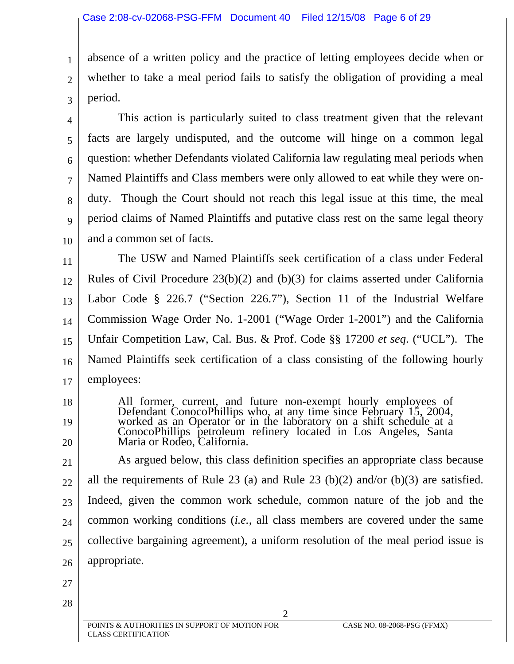absence of a written policy and the practice of letting employees decide when or whether to take a meal period fails to satisfy the obligation of providing a meal period.

4 5 6 7 8 9 10 This action is particularly suited to class treatment given that the relevant facts are largely undisputed, and the outcome will hinge on a common legal question: whether Defendants violated California law regulating meal periods when Named Plaintiffs and Class members were only allowed to eat while they were onduty. Though the Court should not reach this legal issue at this time, the meal period claims of Named Plaintiffs and putative class rest on the same legal theory and a common set of facts.

11 12 13 14 15 16 17 The USW and Named Plaintiffs seek certification of a class under Federal Rules of Civil Procedure 23(b)(2) and (b)(3) for claims asserted under California Labor Code § 226.7 ("Section 226.7"), Section 11 of the Industrial Welfare Commission Wage Order No. 1-2001 ("Wage Order 1-2001") and the California Unfair Competition Law, Cal. Bus. & Prof. Code §§ 17200 *et seq*. ("UCL"). The Named Plaintiffs seek certification of a class consisting of the following hourly employees:

- All former, current, and future non-exempt hourly employees of Defendant ConocoPhillips who, at any time since February 15, 2004, worked as an Operator or in the laboratory on a shift schedule at a ConocoPhillips petroleum refinery located in Los Angeles, Santa Maria or Rodeo, Califor
- 21 22 23 24 25 26 As argued below, this class definition specifies an appropriate class because all the requirements of Rule 23 (a) and Rule 23 (b)(2) and/or (b)(3) are satisfied. Indeed, given the common work schedule, common nature of the job and the common working conditions (*i.e.*, all class members are covered under the same collective bargaining agreement), a uniform resolution of the meal period issue is appropriate.

2

27 28

18

19

20

1

2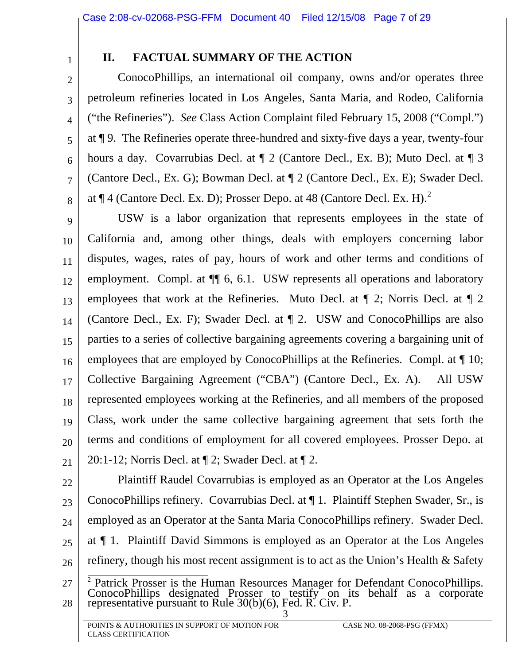<span id="page-6-0"></span>1

2

3

4

5

6

7

8

# **II. FACTUAL SUMMARY OF THE ACTION**

ConocoPhillips, an international oil company, owns and/or operates three petroleum refineries located in Los Angeles, Santa Maria, and Rodeo, California ("the Refineries"). *See* Class Action Complaint filed February 15, 2008 ("Compl.") at ¶ 9. The Refineries operate three-hundred and sixty-five days a year, twenty-four hours a day. Covarrubias Decl. at  $\P$  2 (Cantore Decl., Ex. B); Muto Decl. at  $\P$  3 (Cantore Decl., Ex. G); Bowman Decl. at ¶ 2 (Cantore Decl., Ex. E); Swader Decl. at  $\P$  4 (Cantore Decl. Ex. D); Prosser Depo. at 48 (Cantore Decl. Ex. H).<sup>[2](#page-6-1)</sup>

9 10 11 12 13 14 15 16 17 18 19 20 21 USW is a labor organization that represents employees in the state of California and, among other things, deals with employers concerning labor disputes, wages, rates of pay, hours of work and other terms and conditions of employment. Compl. at  $\P$  6, 6.1. USW represents all operations and laboratory employees that work at the Refineries. Muto Decl. at ¶ 2; Norris Decl. at ¶ 2 (Cantore Decl., Ex. F); Swader Decl. at ¶ 2. USW and ConocoPhillips are also parties to a series of collective bargaining agreements covering a bargaining unit of employees that are employed by ConocoPhillips at the Refineries. Compl. at ¶ 10; Collective Bargaining Agreement ("CBA") (Cantore Decl., Ex. A). All USW represented employees working at the Refineries, and all members of the proposed Class, work under the same collective bargaining agreement that sets forth the terms and conditions of employment for all covered employees. Prosser Depo. at 20:1-12; Norris Decl. at ¶ 2; Swader Decl. at ¶ 2.

22

23 24 25 26 Plaintiff Raudel Covarrubias is employed as an Operator at the Los Angeles ConocoPhillips refinery. Covarrubias Decl. at ¶ 1. Plaintiff Stephen Swader, Sr., is employed as an Operator at the Santa Maria ConocoPhillips refinery. Swader Decl. at ¶ 1. Plaintiff David Simmons is employed as an Operator at the Los Angeles refinery, though his most recent assignment is to act as the Union's Health & Safety

<span id="page-6-1"></span>27 28 3 <sup>2</sup> Patrick Prosser is the Human Resources Manager for Defendant ConocoPhillips.<br>ConocoPhillips designated Prosser to testify on its behalf as a corporate representative pursuant to Rule  $30(b)(6)$ , Fed. R. Civ. P.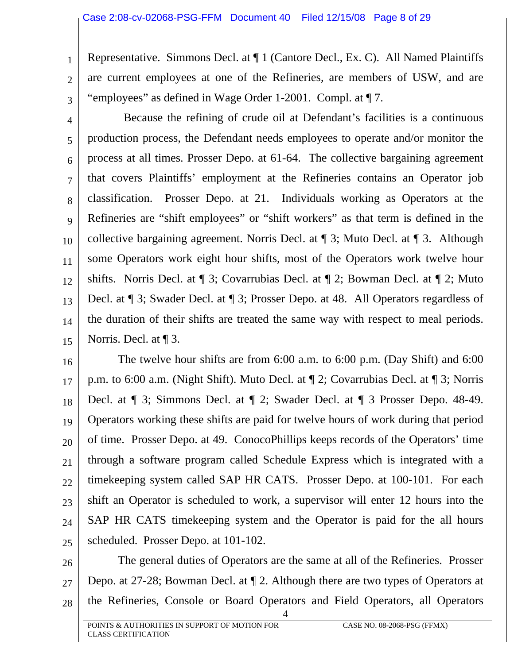1

2

3

Representative. Simmons Decl. at ¶ 1 (Cantore Decl., Ex. C). All Named Plaintiffs are current employees at one of the Refineries, are members of USW, and are "employees" as defined in Wage Order 1-2001. Compl. at ¶ 7.

4 5 6 7 8 9 10 11 12 13 14 15 Because the refining of crude oil at Defendant's facilities is a continuous production process, the Defendant needs employees to operate and/or monitor the process at all times. Prosser Depo. at 61-64. The collective bargaining agreement that covers Plaintiffs' employment at the Refineries contains an Operator job classification. Prosser Depo. at 21. Individuals working as Operators at the Refineries are "shift employees" or "shift workers" as that term is defined in the collective bargaining agreement. Norris Decl. at ¶ 3; Muto Decl. at ¶ 3. Although some Operators work eight hour shifts, most of the Operators work twelve hour shifts. Norris Decl. at ¶ 3; Covarrubias Decl. at ¶ 2; Bowman Decl. at ¶ 2; Muto Decl. at ¶ 3; Swader Decl. at ¶ 3; Prosser Depo. at 48. All Operators regardless of the duration of their shifts are treated the same way with respect to meal periods. Norris. Decl. at ¶ 3.

16 17 18 19 20 21 22 23 24 25 The twelve hour shifts are from 6:00 a.m. to 6:00 p.m. (Day Shift) and 6:00 p.m. to 6:00 a.m. (Night Shift). Muto Decl. at ¶ 2; Covarrubias Decl. at ¶ 3; Norris Decl. at ¶ 3; Simmons Decl. at ¶ 2; Swader Decl. at ¶ 3 Prosser Depo. 48-49. Operators working these shifts are paid for twelve hours of work during that period of time. Prosser Depo. at 49. ConocoPhillips keeps records of the Operators' time through a software program called Schedule Express which is integrated with a timekeeping system called SAP HR CATS. Prosser Depo. at 100-101. For each shift an Operator is scheduled to work, a supervisor will enter 12 hours into the SAP HR CATS timekeeping system and the Operator is paid for the all hours scheduled. Prosser Depo. at 101-102.

26 27 28 The general duties of Operators are the same at all of the Refineries. Prosser Depo. at 27-28; Bowman Decl. at ¶ 2. Although there are two types of Operators at the Refineries, Console or Board Operators and Field Operators, all Operators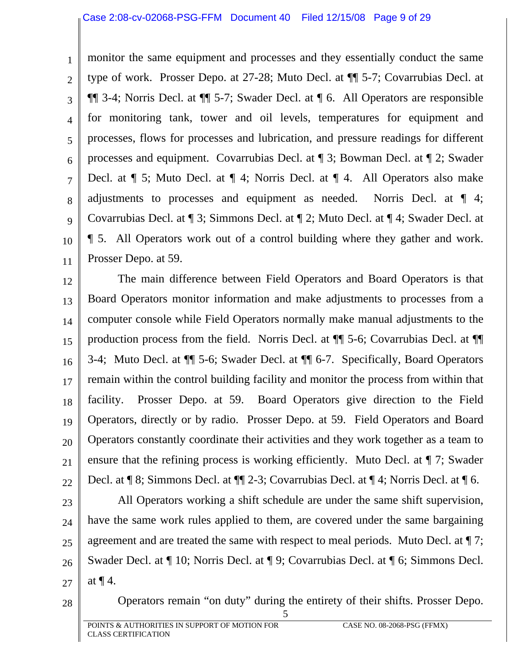1 2 3 4 5 6 7 8 9 10 11 monitor the same equipment and processes and they essentially conduct the same type of work. Prosser Depo. at 27-28; Muto Decl. at ¶¶ 5-7; Covarrubias Decl. at ¶¶ 3-4; Norris Decl. at ¶¶ 5-7; Swader Decl. at ¶ 6. All Operators are responsible for monitoring tank, tower and oil levels, temperatures for equipment and processes, flows for processes and lubrication, and pressure readings for different processes and equipment. Covarrubias Decl. at ¶ 3; Bowman Decl. at ¶ 2; Swader Decl. at ¶ 5; Muto Decl. at ¶ 4; Norris Decl. at ¶ 4. All Operators also make adjustments to processes and equipment as needed. Norris Decl. at ¶ 4; Covarrubias Decl. at ¶ 3; Simmons Decl. at ¶ 2; Muto Decl. at ¶ 4; Swader Decl. at ¶ 5. All Operators work out of a control building where they gather and work. Prosser Depo. at 59.

12 13 14 15 16 17 18 19 20 21 22 The main difference between Field Operators and Board Operators is that Board Operators monitor information and make adjustments to processes from a computer console while Field Operators normally make manual adjustments to the production process from the field. Norris Decl. at ¶¶ 5-6; Covarrubias Decl. at ¶¶ 3-4; Muto Decl. at ¶¶ 5-6; Swader Decl. at ¶¶ 6-7. Specifically, Board Operators remain within the control building facility and monitor the process from within that facility. Prosser Depo. at 59. Board Operators give direction to the Field Operators, directly or by radio. Prosser Depo. at 59. Field Operators and Board Operators constantly coordinate their activities and they work together as a team to ensure that the refining process is working efficiently. Muto Decl. at ¶ 7; Swader Decl. at ¶ 8; Simmons Decl. at ¶¶ 2-3; Covarrubias Decl. at ¶ 4; Norris Decl. at ¶ 6.

23 24 25 26 27 All Operators working a shift schedule are under the same shift supervision, have the same work rules applied to them, are covered under the same bargaining agreement and are treated the same with respect to meal periods. Muto Decl. at ¶ 7; Swader Decl. at ¶ 10; Norris Decl. at ¶ 9; Covarrubias Decl. at ¶ 6; Simmons Decl. at ¶ 4.

28

Operators remain "on duty" during the entirety of their shifts. Prosser Depo.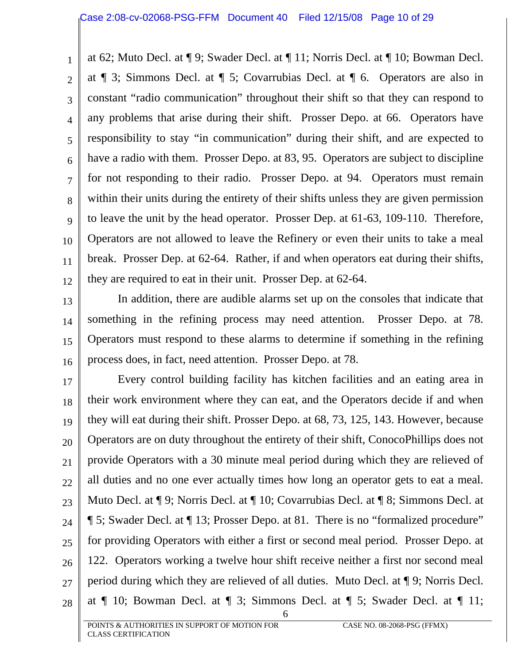1 2 3 4 5 6 7 8 9 10 11 12 at 62; Muto Decl. at ¶ 9; Swader Decl. at ¶ 11; Norris Decl. at ¶ 10; Bowman Decl. at ¶ 3; Simmons Decl. at ¶ 5; Covarrubias Decl. at ¶ 6. Operators are also in constant "radio communication" throughout their shift so that they can respond to any problems that arise during their shift. Prosser Depo. at 66. Operators have responsibility to stay "in communication" during their shift, and are expected to have a radio with them. Prosser Depo. at 83, 95. Operators are subject to discipline for not responding to their radio. Prosser Depo. at 94. Operators must remain within their units during the entirety of their shifts unless they are given permission to leave the unit by the head operator. Prosser Dep. at 61-63, 109-110. Therefore, Operators are not allowed to leave the Refinery or even their units to take a meal break. Prosser Dep. at 62-64. Rather, if and when operators eat during their shifts, they are required to eat in their unit. Prosser Dep. at 62-64.

13 14 15 16 In addition, there are audible alarms set up on the consoles that indicate that something in the refining process may need attention. Prosser Depo. at 78. Operators must respond to these alarms to determine if something in the refining process does, in fact, need attention. Prosser Depo. at 78.

17 18 19 20 21 22 23 24 25 26 27 28 Every control building facility has kitchen facilities and an eating area in their work environment where they can eat, and the Operators decide if and when they will eat during their shift. Prosser Depo. at 68, 73, 125, 143. However, because Operators are on duty throughout the entirety of their shift, ConocoPhillips does not provide Operators with a 30 minute meal period during which they are relieved of all duties and no one ever actually times how long an operator gets to eat a meal. Muto Decl. at ¶ 9; Norris Decl. at ¶ 10; Covarrubias Decl. at ¶ 8; Simmons Decl. at ¶ 5; Swader Decl. at ¶ 13; Prosser Depo. at 81. There is no "formalized procedure" for providing Operators with either a first or second meal period. Prosser Depo. at 122. Operators working a twelve hour shift receive neither a first nor second meal period during which they are relieved of all duties. Muto Decl. at ¶ 9; Norris Decl. at  $\P$  10; Bowman Decl. at  $\P$  3; Simmons Decl. at  $\P$  5; Swader Decl. at  $\P$  11;

6

POINTS & AUTHORITIES IN SUPPORT OF MOTION FOR CASE NO. 08-2068-PSG (FFMX) CLASS CERTIFICATION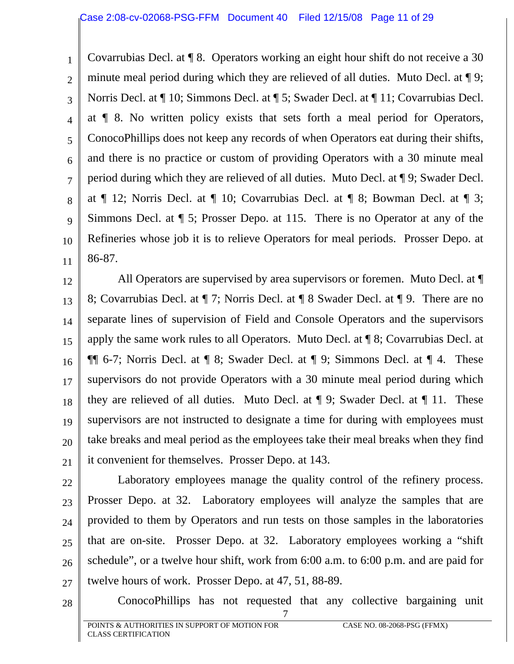1 2 3 4 5 6 7 8 9 10 11 Covarrubias Decl. at ¶ 8. Operators working an eight hour shift do not receive a 30 minute meal period during which they are relieved of all duties. Muto Decl. at  $\P$ 9; Norris Decl. at ¶ 10; Simmons Decl. at ¶ 5; Swader Decl. at ¶ 11; Covarrubias Decl. at ¶ 8. No written policy exists that sets forth a meal period for Operators, ConocoPhillips does not keep any records of when Operators eat during their shifts, and there is no practice or custom of providing Operators with a 30 minute meal period during which they are relieved of all duties. Muto Decl. at ¶ 9; Swader Decl. at ¶ 12; Norris Decl. at ¶ 10; Covarrubias Decl. at ¶ 8; Bowman Decl. at ¶ 3; Simmons Decl. at ¶ 5; Prosser Depo. at 115. There is no Operator at any of the Refineries whose job it is to relieve Operators for meal periods. Prosser Depo. at 86-87.

12 13 14 15 16 17 18 19 20 21 All Operators are supervised by area supervisors or foremen. Muto Decl. at ¶ 8; Covarrubias Decl. at ¶ 7; Norris Decl. at ¶ 8 Swader Decl. at ¶ 9. There are no separate lines of supervision of Field and Console Operators and the supervisors apply the same work rules to all Operators. Muto Decl. at ¶ 8; Covarrubias Decl. at ¶¶ 6-7; Norris Decl. at ¶ 8; Swader Decl. at ¶ 9; Simmons Decl. at ¶ 4. These supervisors do not provide Operators with a 30 minute meal period during which they are relieved of all duties. Muto Decl. at ¶ 9; Swader Decl. at ¶ 11. These supervisors are not instructed to designate a time for during with employees must take breaks and meal period as the employees take their meal breaks when they find it convenient for themselves. Prosser Depo. at 143.

22 23 24 25 26 27 Laboratory employees manage the quality control of the refinery process. Prosser Depo. at 32. Laboratory employees will analyze the samples that are provided to them by Operators and run tests on those samples in the laboratories that are on-site. Prosser Depo. at 32. Laboratory employees working a "shift schedule", or a twelve hour shift, work from 6:00 a.m. to 6:00 p.m. and are paid for twelve hours of work. Prosser Depo. at 47, 51, 88-89.

7

ConocoPhillips has not requested that any collective bargaining unit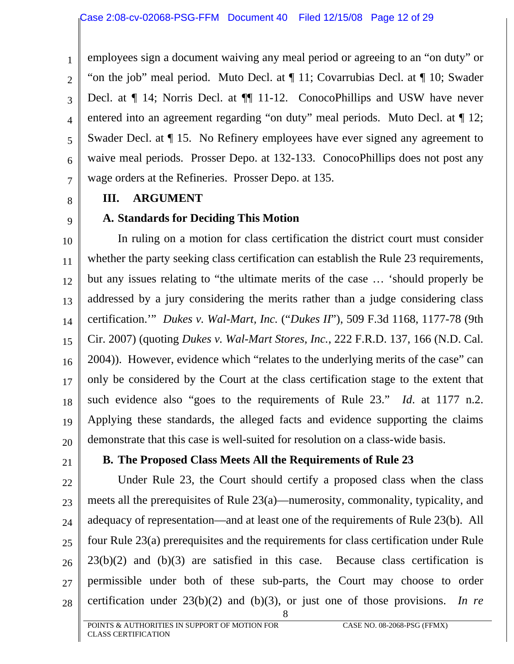employees sign a document waiving any meal period or agreeing to an "on duty" or "on the job" meal period. Muto Decl. at ¶ 11; Covarrubias Decl. at ¶ 10; Swader Decl. at ¶ 14; Norris Decl. at ¶¶ 11-12. ConocoPhillips and USW have never entered into an agreement regarding "on duty" meal periods. Muto Decl. at  $\P$  12; Swader Decl. at ¶ 15. No Refinery employees have ever signed any agreement to waive meal periods. Prosser Depo. at 132-133. ConocoPhillips does not post any wage orders at the Refineries. Prosser Depo. at 135.

**III. ARGUMENT** 

# **A. Standards for Deciding This Motion**

10 11 12 13 14 15 16 17 18 19 20 In ruling on a motion for class certification the district court must consider whether the party seeking class certification can establish the Rule 23 requirements, but any issues relating to "the ultimate merits of the case … 'should properly be addressed by a jury considering the merits rather than a judge considering class certification.'" *Dukes v. Wal-Mart, Inc.* ("*Dukes II*"), 509 F.3d 1168, 1177-78 (9th Cir. 2007) (quoting *Dukes v. Wal-Mart Stores, Inc.*, 222 F.R.D. 137, 166 (N.D. Cal. 2004)). However, evidence which "relates to the underlying merits of the case" can only be considered by the Court at the class certification stage to the extent that such evidence also "goes to the requirements of Rule 23." *Id*. at 1177 n.2. Applying these standards, the alleged facts and evidence supporting the claims demonstrate that this case is well-suited for resolution on a class-wide basis.

21

<span id="page-11-0"></span>1

2

3

4

5

6

7

8

9

#### **B. The Proposed Class Meets All the Requirements of Rule 23**

22 23 24 25 26 27 Under Rule 23, the Court should certify a proposed class when the class meets all the prerequisites of Rule 23(a)—numerosity, commonality, typicality, and adequacy of representation—and at least one of the requirements of Rule 23(b). All four Rule 23(a) prerequisites and the requirements for class certification under Rule  $23(b)(2)$  and  $(b)(3)$  are satisfied in this case. Because class certification is permissible under both of these sub-parts, the Court may choose to order certification under 23(b)(2) and (b)(3), or just one of those provisions. *In re* 

8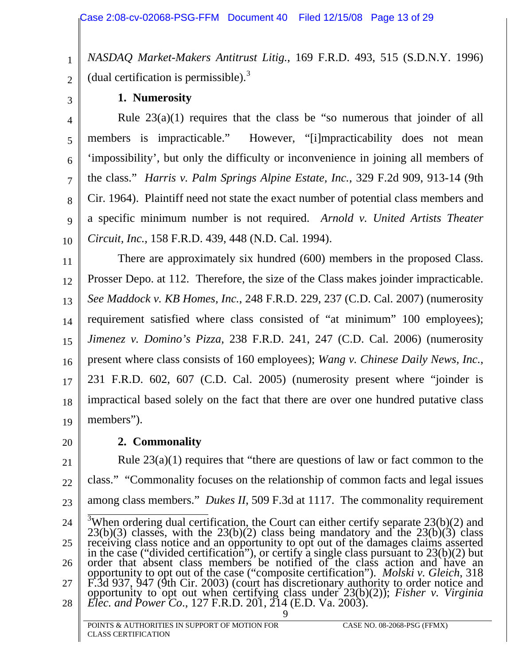*NASDAQ Market-Makers Antitrust Litig.*, 169 F.R.D. 493, 515 (S.D.N.Y. 1996) (dual certification is permissible). $3$ 

3

2

<span id="page-12-0"></span>1

#### **1. Numerosity**

4 5 6 7 8 9 10 Rule 23(a)(1) requires that the class be "so numerous that joinder of all members is impracticable." However, "[i]mpracticability does not mean 'impossibility', but only the difficulty or inconvenience in joining all members of the class." *Harris v. Palm Springs Alpine Estate, Inc.*, 329 F.2d 909, 913-14 (9th Cir. 1964). Plaintiff need not state the exact number of potential class members and a specific minimum number is not required. *Arnold v. United Artists Theater Circuit, Inc.*, 158 F.R.D. 439, 448 (N.D. Cal. 1994).

11 12 13 14 15 16 17 18 19 There are approximately six hundred (600) members in the proposed Class. Prosser Depo. at 112. Therefore, the size of the Class makes joinder impracticable. *See Maddock v. KB Homes, Inc.*, 248 F.R.D. 229, 237 (C.D. Cal. 2007) (numerosity requirement satisfied where class consisted of "at minimum" 100 employees); *Jimenez v. Domino's Pizza*, 238 F.R.D. 241, 247 (C.D. Cal. 2006) (numerosity present where class consists of 160 employees); *Wang v. Chinese Daily News, Inc.*, 231 F.R.D. 602, 607 (C.D. Cal. 2005) (numerosity present where "joinder is impractical based solely on the fact that there are over one hundred putative class members").

20

#### **2. Commonality**

<span id="page-12-1"></span>21 22 23 24 25 26 27 28 9 Rule 23(a)(1) requires that "there are questions of law or fact common to the class." "Commonality focuses on the relationship of common facts and legal issues among class members." *Dukes II*, 509 F.3d at 1117.The commonality requirement <sup>3</sup>When ordering dual certification, the Court can either certify separate  $23(b)(2)$  and <sup>3</sup>When ordering dual certification, the Court can either certify separate 23(b)(2) and 23(b)(3) classes, with the 23(b)(2) class being mandatory and the 23(b)(3) class receiving class notice and an opportunity to opt out opportunity to opt out of the case ("composite certification"). *Molski v. Gleich*, 318 F.3d 937, 947 (9th Cir. 2003) (court has discretionary authority to order notice and<br>opportunity to opt out when certifying class under 23(b)(2)); *Fisher v. Virginia*<br>*Elec. and Power Co.*, 127 F.R.D. 201, 214 (E.D. Va. 2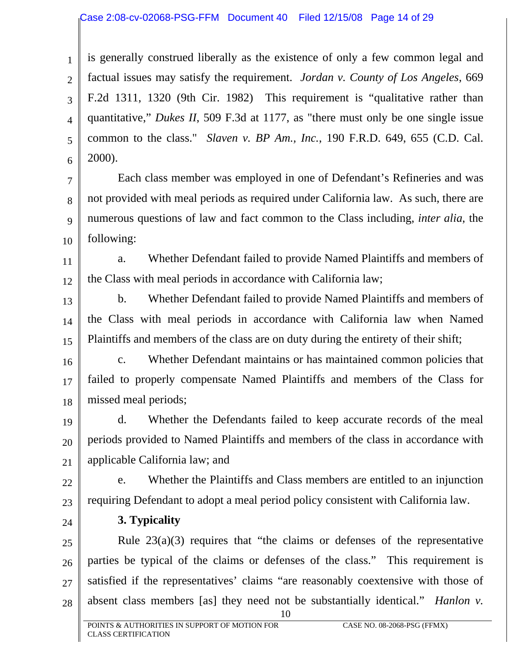<span id="page-13-0"></span>1 2 3 4 5 6 is generally construed liberally as the existence of only a few common legal and factual issues may satisfy the requirement. *Jordan v. County of Los Angeles*, 669 F.2d 1311, 1320 (9th Cir. 1982) This requirement is "qualitative rather than quantitative," *Dukes II*, 509 F.3d at 1177, as "there must only be one single issue common to the class." *Slaven v. BP Am., Inc.*, 190 F.R.D. 649, 655 (C.D. Cal. 2000).

7 8 9 10 Each class member was employed in one of Defendant's Refineries and was not provided with meal periods as required under California law. As such, there are numerous questions of law and fact common to the Class including, *inter alia*, the following:

11 12 a. Whether Defendant failed to provide Named Plaintiffs and members of the Class with meal periods in accordance with California law;

13 14 15 b. Whether Defendant failed to provide Named Plaintiffs and members of the Class with meal periods in accordance with California law when Named Plaintiffs and members of the class are on duty during the entirety of their shift;

16 17 18 c. Whether Defendant maintains or has maintained common policies that failed to properly compensate Named Plaintiffs and members of the Class for missed meal periods;

19 20 21 d. Whether the Defendants failed to keep accurate records of the meal periods provided to Named Plaintiffs and members of the class in accordance with applicable California law; and

- 22 23 e. Whether the Plaintiffs and Class members are entitled to an injunction requiring Defendant to adopt a meal period policy consistent with California law.
- 24

## **3. Typicality**

25 26 27 28 Rule  $23(a)(3)$  requires that "the claims or defenses of the representative parties be typical of the claims or defenses of the class." This requirement is satisfied if the representatives' claims "are reasonably coextensive with those of absent class members [as] they need not be substantially identical." *Hanlon v.* 

10

POINTS & AUTHORITIES IN SUPPORT OF MOTION FOR CASE NO. 08-2068-PSG (FFMX) CLASS CERTIFICATION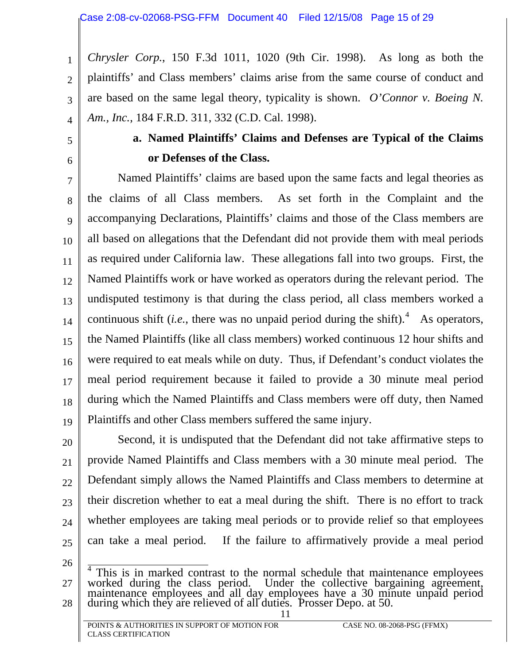<span id="page-14-0"></span>2 3 4 *Chrysler Corp.*, 150 F.3d 1011, 1020 (9th Cir. 1998). As long as both the plaintiffs' and Class members' claims arise from the same course of conduct and are based on the same legal theory, typicality is shown. *O'Connor v. Boeing N. Am., Inc.*, 184 F.R.D. 311, 332 (C.D. Cal. 1998).

# 5

1

6

# **a. Named Plaintiffs' Claims and Defenses are Typical of the Claims or Defenses of the Class.**

7 8 9 10 11 12 13 14 15 16 17 18 19 Named Plaintiffs' claims are based upon the same facts and legal theories as the claims of all Class members. As set forth in the Complaint and the accompanying Declarations, Plaintiffs' claims and those of the Class members are all based on allegations that the Defendant did not provide them with meal periods as required under California law. These allegations fall into two groups. First, the Named Plaintiffs work or have worked as operators during the relevant period. The undisputed testimony is that during the class period, all class members worked a continuous shift *(i.e.*, there was no unpaid period during the shift).<sup>[4](#page-14-1)</sup> As operators, the Named Plaintiffs (like all class members) worked continuous 12 hour shifts and were required to eat meals while on duty. Thus, if Defendant's conduct violates the meal period requirement because it failed to provide a 30 minute meal period during which the Named Plaintiffs and Class members were off duty, then Named Plaintiffs and other Class members suffered the same injury.

20 21 22 23 24 25 Second, it is undisputed that the Defendant did not take affirmative steps to provide Named Plaintiffs and Class members with a 30 minute meal period. The Defendant simply allows the Named Plaintiffs and Class members to determine at their discretion whether to eat a meal during the shift. There is no effort to track whether employees are taking meal periods or to provide relief so that employees can take a meal period. If the failure to affirmatively provide a meal period

<span id="page-14-1"></span><sup>27</sup>  28 11  $4$  This is in marked contrast to the normal schedule that maintenance employees worked during the class period. Under the collective bargaining agreement, maintenance employees and all day employees have a 30 minute unpa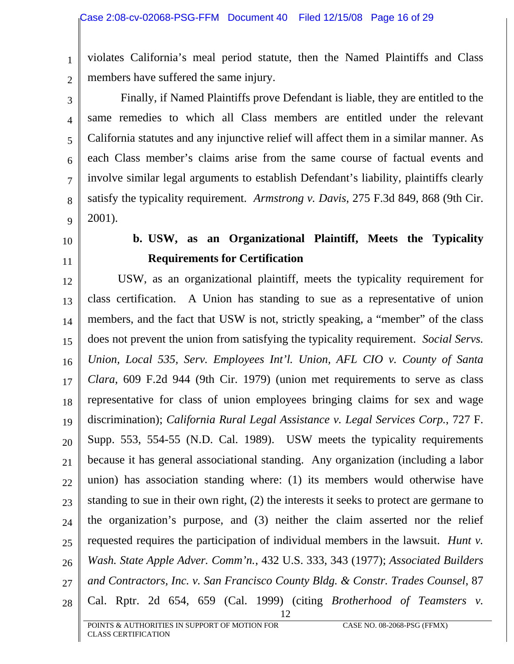violates California's meal period statute, then the Named Plaintiffs and Class members have suffered the same injury.

3 4 5 6 7 8 9 Finally, if Named Plaintiffs prove Defendant is liable, they are entitled to the same remedies to which all Class members are entitled under the relevant California statutes and any injunctive relief will affect them in a similar manner. As each Class member's claims arise from the same course of factual events and involve similar legal arguments to establish Defendant's liability, plaintiffs clearly satisfy the typicality requirement. *Armstrong v. Davis*, 275 F.3d 849, 868 (9th Cir. 2001).

10

11

<span id="page-15-0"></span>1

2

# **b. USW, as an Organizational Plaintiff, Meets the Typicality Requirements for Certification**

12 13 14 15 16 17 18 19 20 21 22 23 24 25 26 27 28 12 USW, as an organizational plaintiff, meets the typicality requirement for class certification. A Union has standing to sue as a representative of union members, and the fact that USW is not, strictly speaking, a "member" of the class does not prevent the union from satisfying the typicality requirement. *Social Servs. Union, Local 535, Serv. Employees Int'l. Union, AFL CIO v. County of Santa Clara*, 609 F.2d 944 (9th Cir. 1979) (union met requirements to serve as class representative for class of union employees bringing claims for sex and wage discrimination); *California Rural Legal Assistance v. Legal Services Corp.*, 727 F. Supp. 553, 554-55 (N.D. Cal. 1989). USW meets the typicality requirements because it has general associational standing. Any organization (including a labor union) has association standing where: (1) its members would otherwise have standing to sue in their own right, (2) the interests it seeks to protect are germane to the organization's purpose, and (3) neither the claim asserted nor the relief requested requires the participation of individual members in the lawsuit. *Hunt v. Wash. State Apple Adver. Comm'n.*, 432 U.S. 333, 343 (1977); *Associated Builders and Contractors, Inc. v. San Francisco County Bldg. & Constr. Trades Counsel*, 87 Cal. Rptr. 2d 654, 659 (Cal. 1999) (citing *Brotherhood of Teamsters v.*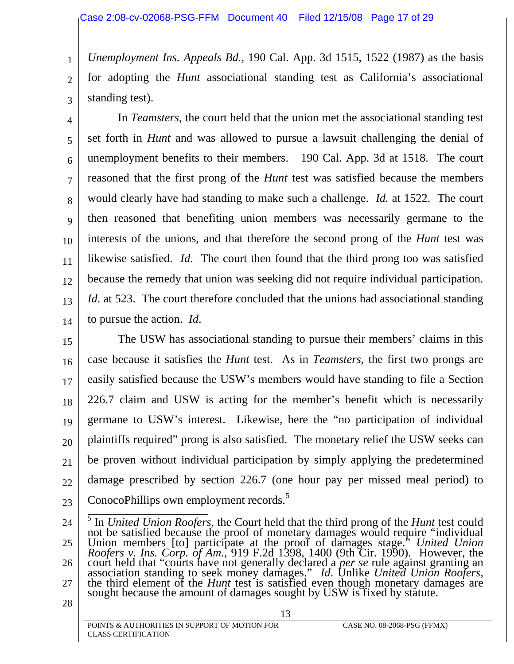*Unemployment Ins. Appeals Bd.*, 190 Cal. App. 3d 1515, 1522 (1987) as the basis for adopting the *Hunt* associational standing test as California's associational standing test).

3

1

2

4 5 6 7 8 9 10 11 12 13 14 In *Teamsters*, the court held that the union met the associational standing test set forth in *Hunt* and was allowed to pursue a lawsuit challenging the denial of unemployment benefits to their members. 190 Cal. App. 3d at 1518. The court reasoned that the first prong of the *Hunt* test was satisfied because the members would clearly have had standing to make such a challenge. *Id.* at 1522. The court then reasoned that benefiting union members was necessarily germane to the interests of the unions, and that therefore the second prong of the *Hunt* test was likewise satisfied. *Id*. The court then found that the third prong too was satisfied because the remedy that union was seeking did not require individual participation. *Id*. at 523. The court therefore concluded that the unions had associational standing to pursue the action. *Id*.

15 16 17 18 19 20 21 22 23 The USW has associational standing to pursue their members' claims in this case because it satisfies the *Hunt* test. As in *Teamsters*, the first two prongs are easily satisfied because the USW's members would have standing to file a Section 226.7 claim and USW is acting for the member's benefit which is necessarily germane to USW's interest. Likewise, here the "no participation of individual plaintiffs required" prong is also satisfied. The monetary relief the USW seeks can be proven without individual participation by simply applying the predetermined damage prescribed by section 226.7 (one hour pay per missed meal period) to ConocoPhillips own employment records.<sup>[5](#page-16-0)</sup>

<span id="page-16-0"></span><sup>24</sup>  25 26 27 28 5 In *United Union Roofers*, the Court held that the third prong of the *Hunt* test could not be satisfied because the proof of monetary damages would require "individual Union members [to] participate at the proof of damages stage." *United Union*  Roofers v. Ins. Corp. of Am., 919 F.2d 1398, 1400 (9th Cir. 1990). However, the court held that "courts have not generally declared a *per se* rule against granting an association standing to seek money damages." Id. Unlik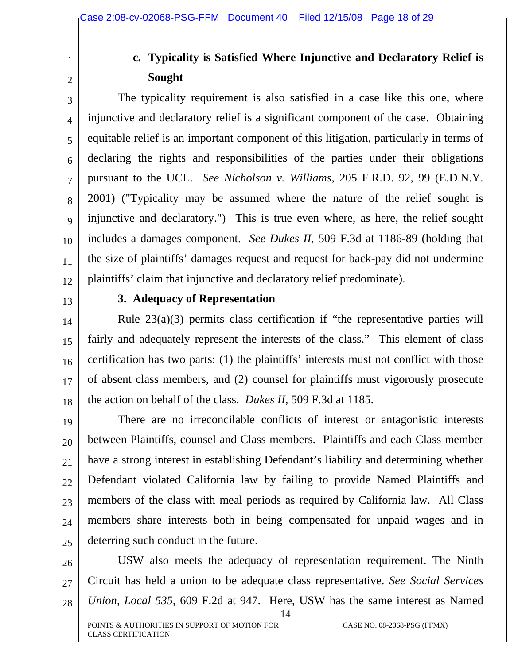<span id="page-17-0"></span>1 2

# **c. Typicality is Satisfied Where Injunctive and Declaratory Relief is Sought**

3 4 5 6 7 8 9 10 11 12 The typicality requirement is also satisfied in a case like this one, where injunctive and declaratory relief is a significant component of the case. Obtaining equitable relief is an important component of this litigation, particularly in terms of declaring the rights and responsibilities of the parties under their obligations pursuant to the UCL. *See Nicholson v. Williams*, 205 F.R.D. 92, 99 (E.D.N.Y. 2001) ("Typicality may be assumed where the nature of the relief sought is injunctive and declaratory.") This is true even where, as here, the relief sought includes a damages component. *See Dukes II*, 509 F.3d at 1186-89 (holding that the size of plaintiffs' damages request and request for back-pay did not undermine plaintiffs' claim that injunctive and declaratory relief predominate).

13

#### **3. Adequacy of Representation**

14 15 16 17 18 Rule 23(a)(3) permits class certification if "the representative parties will fairly and adequately represent the interests of the class." This element of class certification has two parts: (1) the plaintiffs' interests must not conflict with those of absent class members, and (2) counsel for plaintiffs must vigorously prosecute the action on behalf of the class. *Dukes II*, 509 F.3d at 1185.

19 20 21 22 23 24 25 There are no irreconcilable conflicts of interest or antagonistic interests between Plaintiffs, counsel and Class members. Plaintiffs and each Class member have a strong interest in establishing Defendant's liability and determining whether Defendant violated California law by failing to provide Named Plaintiffs and members of the class with meal periods as required by California law. All Class members share interests both in being compensated for unpaid wages and in deterring such conduct in the future.

26 27 28 USW also meets the adequacy of representation requirement. The Ninth Circuit has held a union to be adequate class representative. *See Social Services Union, Local 535*, 609 F.2d at 947. Here, USW has the same interest as Named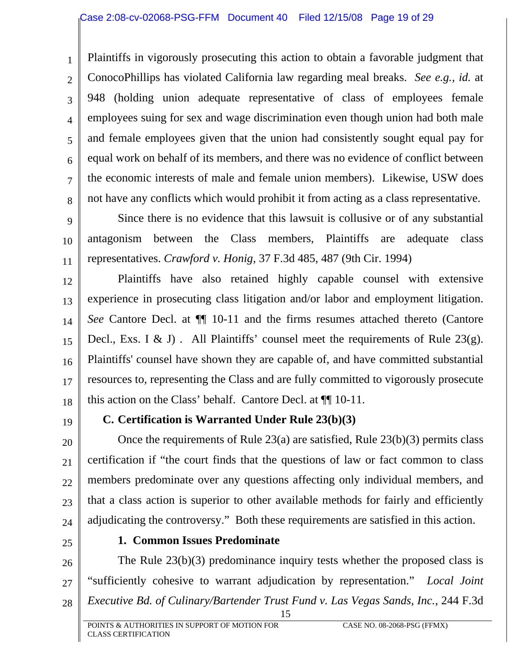Plaintiffs in vigorously prosecuting this action to obtain a favorable judgment that ConocoPhillips has violated California law regarding meal breaks. *See e.g., id.* at 948 (holding union adequate representative of class of employees female employees suing for sex and wage discrimination even though union had both male and female employees given that the union had consistently sought equal pay for equal work on behalf of its members, and there was no evidence of conflict between the economic interests of male and female union members). Likewise, USW does not have any conflicts which would prohibit it from acting as a class representative.

9 10 11 Since there is no evidence that this lawsuit is collusive or of any substantial antagonism between the Class members, Plaintiffs are adequate class representatives. *Crawford v. Honig*, 37 F.3d 485, 487 (9th Cir. 1994)

12 13 14 15 16 17 18 Plaintiffs have also retained highly capable counsel with extensive experience in prosecuting class litigation and/or labor and employment litigation. *See* Cantore Decl. at ¶¶ 10-11 and the firms resumes attached thereto (Cantore Decl., Exs. I & J). All Plaintiffs' counsel meet the requirements of Rule 23(g). Plaintiffs' counsel have shown they are capable of, and have committed substantial resources to, representing the Class and are fully committed to vigorously prosecute this action on the Class' behalf. Cantore Decl. at ¶¶ 10-11.

19

<span id="page-18-0"></span>1

2

3

4

5

6

7

8

## **C. Certification is Warranted Under Rule 23(b)(3)**

20 21 22 23 24 Once the requirements of Rule 23(a) are satisfied, Rule 23(b)(3) permits class certification if "the court finds that the questions of law or fact common to class members predominate over any questions affecting only individual members, and that a class action is superior to other available methods for fairly and efficiently adjudicating the controversy." Both these requirements are satisfied in this action.

25

## **1. Common Issues Predominate**

26 27 28 The Rule 23(b)(3) predominance inquiry tests whether the proposed class is "sufficiently cohesive to warrant adjudication by representation." *Local Joint Executive Bd. of Culinary/Bartender Trust Fund v. Las Vegas Sands, Inc.*, 244 F.3d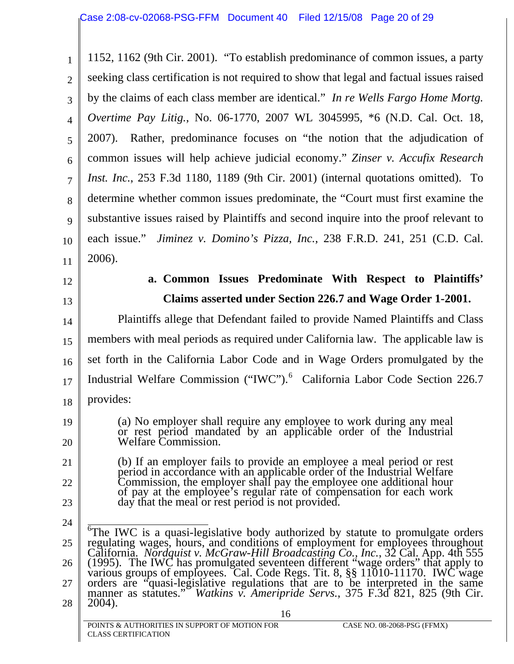<span id="page-19-0"></span>1 2 3 4 5 6 7 8 9 10 11 1152, 1162 (9th Cir. 2001). "To establish predominance of common issues, a party seeking class certification is not required to show that legal and factual issues raised by the claims of each class member are identical." *In re Wells Fargo Home Mortg. Overtime Pay Litig.*, No. 06-1770, 2007 WL 3045995, \*6 (N.D. Cal. Oct. 18, 2007). Rather, predominance focuses on "the notion that the adjudication of common issues will help achieve judicial economy." *Zinser v. Accufix Research Inst. Inc.*, 253 F.3d 1180, 1189 (9th Cir. 2001) (internal quotations omitted). To determine whether common issues predominate, the "Court must first examine the substantive issues raised by Plaintiffs and second inquire into the proof relevant to each issue." *Jiminez v. Domino's Pizza, Inc.*, 238 F.R.D. 241, 251 (C.D. Cal. 2006).

12

13

19

20

# **a. Common Issues Predominate With Respect to Plaintiffs' Claims asserted under Section 226.7 and Wage Order 1-2001.**

14 15 16 17 18 Plaintiffs allege that Defendant failed to provide Named Plaintiffs and Class members with meal periods as required under California law. The applicable law is set forth in the California Labor Code and in Wage Orders promulgated by the Industrial Welfare Commission ("IWC").<sup>[6](#page-19-1)</sup> California Labor Code Section 226.7 provides:

- (a) No employer shall require any employee to work during any meal or rest period mandated by an applicable order of the Industrial Welfare Commission.
- 21 22 23 (b) If an employer fails to provide an employee a meal period or rest period in accordance with an applicable order of the Industrial Welfare Commission, the employer shall pay the employee one additional hour of pay at the employee's regular rate of compensation for each work day that the meal or rest period is not provided.
- <span id="page-19-1"></span>24 25 26 27 28 16 <sup>6</sup>The IWC is a quasi-legislative body authorized by statute to promulgate orders regulating wages, hours, and conditions of employment for employees throughout California. *Nordquist v. McGraw-Hill Broadcasting Co., Inc.*, 32 Cal. App. 4th 555 (1995). The IWC has promulgated seventeen different "wage o orders are "quasi-legislative regulations that are to be interpreted in the same manner as statutes." Watkins v. Ameripride Servs., 375 F.3d 821, 825 (9th Cir. 2004).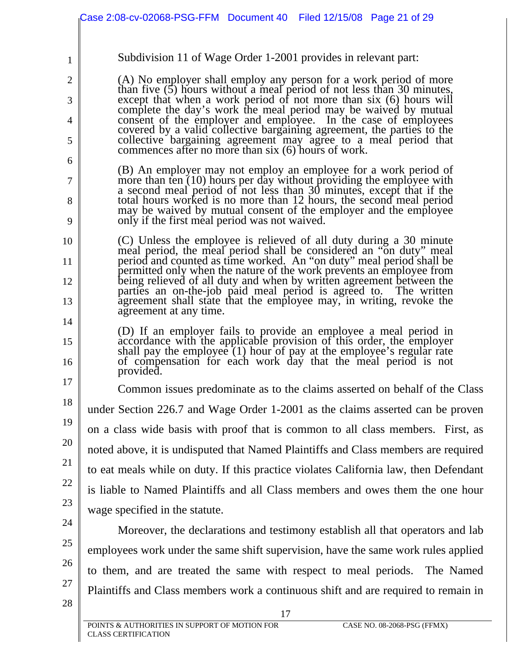|          | Case 2:08-cv-02068-PSG-FFM Document 40 Filed 12/15/08 Page 21 of 29                                                                                                                                             |
|----------|-----------------------------------------------------------------------------------------------------------------------------------------------------------------------------------------------------------------|
| 1        | Subdivision 11 of Wage Order 1-2001 provides in relevant part:                                                                                                                                                  |
| 2        | (A) No employer shall employ any person for a work period of more<br>than five (5) hours without a meal period of not less than 30 minutes,                                                                     |
| 3        | except that when a work period of not more than six (6) hours will                                                                                                                                              |
| 4        | complete the day's work the meal period may be waived by mutual<br>consent of the employer and employee. In the case of employees<br>covered by a valid collective bargaining agreement, the parties to the     |
| 5<br>6   | collective bargaining agreement may agree to a meal period that<br>commences after no more than six (6) hours of work.                                                                                          |
| 7        | (B) An employer may not employ an employee for a work period of<br>more than ten (10) hours per day without providing the employee with<br>a second meal period of not less than 30 minutes, except that if the |
| 8<br>9   | total hours worked is no more than 12 hours, the second meal period<br>may be waived by mutual consent of the employer and the employee<br>only if the first meal period was not waived.                        |
| 10       | (C) Unless the employee is relieved of all duty during a 30 minute<br>meal period, the meal period shall be considered an "on duty" meal                                                                        |
| 11       | period and counted as time worked. An "on duty" meal period shall be<br>permitted only when the nature of the work prevents an employee from                                                                    |
| 12<br>13 | being relieved of all duty and when by written agreement between the<br>parties an on-the-job paid meal period is agreed to. The written<br>agreement shall state that the employee may, in writing, revoke the |
| 14       | agreement at any time.<br>(D) If an employer fails to provide an employee a meal period in                                                                                                                      |
| 15<br>16 | accordance with the applicable provision of this order, the employer<br>shall pay the employee (1) hour of pay at the employee's regular rate<br>of compensation for each work day that the meal period is not  |
| 17       | provided.<br>Common issues predominate as to the claims asserted on behalf of the Class                                                                                                                         |
| 18       | under Section 226.7 and Wage Order 1-2001 as the claims asserted can be proven                                                                                                                                  |
| 19       | on a class wide basis with proof that is common to all class members. First, as                                                                                                                                 |
| 20       | noted above, it is undisputed that Named Plaintiffs and Class members are required                                                                                                                              |
| 21       | to eat meals while on duty. If this practice violates California law, then Defendant                                                                                                                            |
| 22       | is liable to Named Plaintiffs and all Class members and owes them the one hour                                                                                                                                  |
| 23       | wage specified in the statute.                                                                                                                                                                                  |
| 24       | Moreover, the declarations and testimony establish all that operators and lab                                                                                                                                   |
| 25       | employees work under the same shift supervision, have the same work rules applied                                                                                                                               |
| 26       | to them, and are treated the same with respect to meal periods. The Named                                                                                                                                       |
| 27<br>28 | Plaintiffs and Class members work a continuous shift and are required to remain in<br>17                                                                                                                        |
|          | POINTS & AUTHORITIES IN SUPPORT OF MOTION FOR<br>CASE NO. 08-2068-PSG (FFMX)<br><b>CLASS CERTIFICATION</b>                                                                                                      |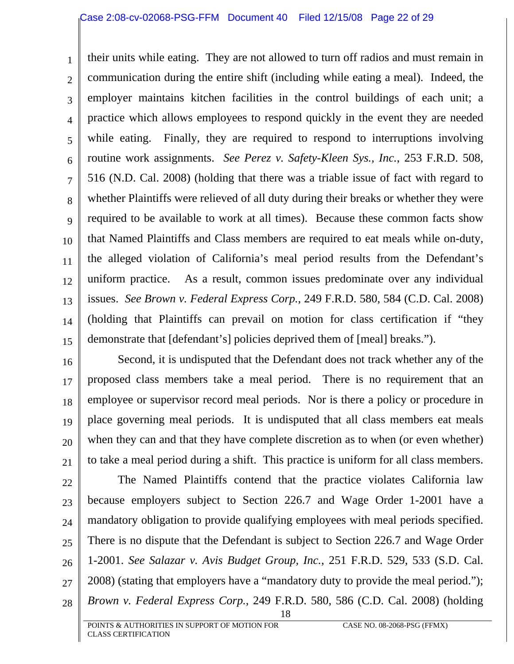1 2 3 4 5 6 7 8 9 10 11 12 13 14 15 their units while eating. They are not allowed to turn off radios and must remain in communication during the entire shift (including while eating a meal). Indeed, the employer maintains kitchen facilities in the control buildings of each unit; a practice which allows employees to respond quickly in the event they are needed while eating. Finally, they are required to respond to interruptions involving routine work assignments. *See Perez v. Safety-Kleen Sys., Inc.*, 253 F.R.D. 508, 516 (N.D. Cal. 2008) (holding that there was a triable issue of fact with regard to whether Plaintiffs were relieved of all duty during their breaks or whether they were required to be available to work at all times). Because these common facts show that Named Plaintiffs and Class members are required to eat meals while on-duty, the alleged violation of California's meal period results from the Defendant's uniform practice. As a result, common issues predominate over any individual issues. *See Brown v. Federal Express Corp.*, 249 F.R.D. 580, 584 (C.D. Cal. 2008) (holding that Plaintiffs can prevail on motion for class certification if "they demonstrate that [defendant's] policies deprived them of [meal] breaks.").

16 17 18 19 20 21 Second, it is undisputed that the Defendant does not track whether any of the proposed class members take a meal period. There is no requirement that an employee or supervisor record meal periods. Nor is there a policy or procedure in place governing meal periods. It is undisputed that all class members eat meals when they can and that they have complete discretion as to when (or even whether) to take a meal period during a shift. This practice is uniform for all class members.

22 23 24 25 26 27 28 18 The Named Plaintiffs contend that the practice violates California law because employers subject to Section 226.7 and Wage Order 1-2001 have a mandatory obligation to provide qualifying employees with meal periods specified. There is no dispute that the Defendant is subject to Section 226.7 and Wage Order 1-2001. *See Salazar v. Avis Budget Group, Inc.*, 251 F.R.D. 529, 533 (S.D. Cal. 2008) (stating that employers have a "mandatory duty to provide the meal period."); *Brown v. Federal Express Corp.*, 249 F.R.D. 580, 586 (C.D. Cal. 2008) (holding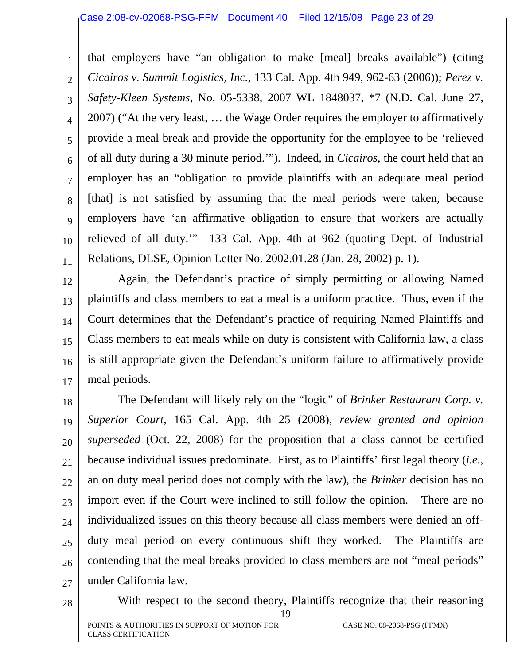1 2 3 4 5 6 7 8 9 10 11 that employers have "an obligation to make [meal] breaks available") (citing *Cicairos v. Summit Logistics, Inc.*, 133 Cal. App. 4th 949, 962-63 (2006)); *Perez v. Safety-Kleen Systems*, No. 05-5338, 2007 WL 1848037, \*7 (N.D. Cal. June 27, 2007) ("At the very least, … the Wage Order requires the employer to affirmatively provide a meal break and provide the opportunity for the employee to be 'relieved of all duty during a 30 minute period.'"). Indeed, in *Cicairos*, the court held that an employer has an "obligation to provide plaintiffs with an adequate meal period [that] is not satisfied by assuming that the meal periods were taken, because employers have 'an affirmative obligation to ensure that workers are actually relieved of all duty.'" 133 Cal. App. 4th at 962 (quoting Dept. of Industrial Relations, DLSE, Opinion Letter No. 2002.01.28 (Jan. 28, 2002) p. 1).

12 13 14 15 16 17 Again, the Defendant's practice of simply permitting or allowing Named plaintiffs and class members to eat a meal is a uniform practice. Thus, even if the Court determines that the Defendant's practice of requiring Named Plaintiffs and Class members to eat meals while on duty is consistent with California law, a class is still appropriate given the Defendant's uniform failure to affirmatively provide meal periods.

18 19 20 21 22 23 24 25 26 27 The Defendant will likely rely on the "logic" of *Brinker Restaurant Corp. v. Superior Court*, 165 Cal. App. 4th 25 (2008), *review granted and opinion superseded* (Oct. 22, 2008) for the proposition that a class cannot be certified because individual issues predominate. First, as to Plaintiffs' first legal theory (*i.e.*, an on duty meal period does not comply with the law), the *Brinker* decision has no import even if the Court were inclined to still follow the opinion. There are no individualized issues on this theory because all class members were denied an offduty meal period on every continuous shift they worked. The Plaintiffs are contending that the meal breaks provided to class members are not "meal periods" under California law.

28

With respect to the second theory, Plaintiffs recognize that their reasoning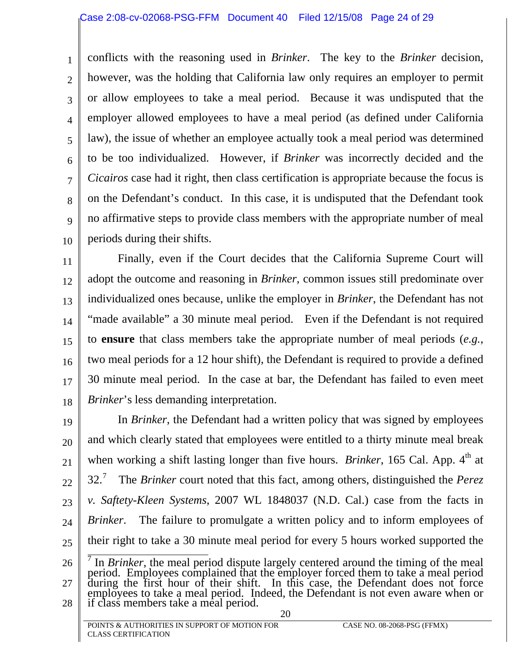1

2

3

4

5

6

7

8

9

10

conflicts with the reasoning used in *Brinker*. The key to the *Brinker* decision, however, was the holding that California law only requires an employer to permit or allow employees to take a meal period. Because it was undisputed that the employer allowed employees to have a meal period (as defined under California law), the issue of whether an employee actually took a meal period was determined to be too individualized. However, if *Brinker* was incorrectly decided and the *Cicairos* case had it right, then class certification is appropriate because the focus is on the Defendant's conduct. In this case, it is undisputed that the Defendant took no affirmative steps to provide class members with the appropriate number of meal periods during their shifts.

11 12 13 14 15 16 17 18 Finally, even if the Court decides that the California Supreme Court will adopt the outcome and reasoning in *Brinker*, common issues still predominate over individualized ones because, unlike the employer in *Brinker*, the Defendant has not "made available" a 30 minute meal period. Even if the Defendant is not required to **ensure** that class members take the appropriate number of meal periods (*e.g.*, two meal periods for a 12 hour shift), the Defendant is required to provide a defined 30 minute meal period. In the case at bar, the Defendant has failed to even meet *Brinker*'s less demanding interpretation.

19 20 21 22 23 24 25 In *Brinker*, the Defendant had a written policy that was signed by employees and which clearly stated that employees were entitled to a thirty minute meal break when working a shift lasting longer than five hours. *Brinker*, 165 Cal. App. 4<sup>th</sup> at 32.[7](#page-23-0) The *Brinker* court noted that this fact, among others, distinguished the *Perez v. Saftety-Kleen Systems*, 2007 WL 1848037 (N.D. Cal.) case from the facts in *Brinker.* The failure to promulgate a written policy and to inform employees of their right to take a 30 minute meal period for every 5 hours worked supported the

<span id="page-23-0"></span><sup>26</sup>  27 28  $\frac{7}{1}$  In *Brinker*, the meal period dispute largely centered around the timing of the meal period. Employees complained that the employer forced them to take a meal period during the first hour of their shift. In this during the first hour of their shift. In this case, the Defendant does not force employees to take a meal period. Indeed, the Defendant is not even aware when or if class members take a meal period.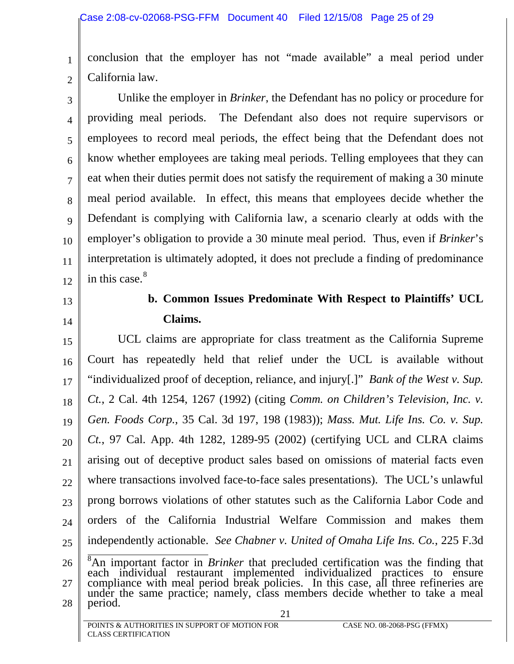<span id="page-24-0"></span>1 2 conclusion that the employer has not "made available" a meal period under California law.

3 4 5 6 7 8 9 10 11 12 Unlike the employer in *Brinker*, the Defendant has no policy or procedure for providing meal periods. The Defendant also does not require supervisors or employees to record meal periods, the effect being that the Defendant does not know whether employees are taking meal periods. Telling employees that they can eat when their duties permit does not satisfy the requirement of making a 30 minute meal period available. In effect, this means that employees decide whether the Defendant is complying with California law, a scenario clearly at odds with the employer's obligation to provide a 30 minute meal period. Thus, even if *Brinker*'s interpretation is ultimately adopted, it does not preclude a finding of predominance in this case. $8<sup>8</sup>$  $8<sup>8</sup>$ 

# 13

14

# **b. Common Issues Predominate With Respect to Plaintiffs' UCL Claims.**

15 16 17 18 19 20 21 22 23 24 25 UCL claims are appropriate for class treatment as the California Supreme Court has repeatedly held that relief under the UCL is available without "individualized proof of deception, reliance, and injury[.]" *Bank of the West v. Sup. Ct.*, 2 Cal. 4th 1254, 1267 (1992) (citing *Comm. on Children's Television, Inc. v. Gen. Foods Corp.*, 35 Cal. 3d 197, 198 (1983)); *Mass. Mut. Life Ins. Co. v. Sup. Ct.*, 97 Cal. App. 4th 1282, 1289-95 (2002) (certifying UCL and CLRA claims arising out of deceptive product sales based on omissions of material facts even where transactions involved face-to-face sales presentations). The UCL's unlawful prong borrows violations of other statutes such as the California Labor Code and orders of the California Industrial Welfare Commission and makes them independently actionable. *See Chabner v. United of Omaha Life Ins. Co.*, 225 F.3d

<span id="page-24-1"></span><sup>26</sup>  27 28 21  $\overline{8}$ An important factor in *Brinker* that precluded certification was the finding that each individual restaurant implemented individualized practices to ensure compliance with meal period break policies. In this case compliance with meal period break policies. In this case, all three refineries are under the same practice; namely, class members decide whether to take a meal period.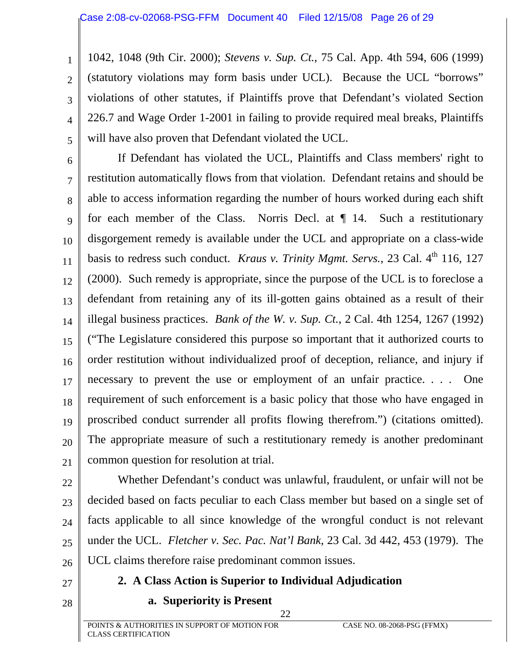1042, 1048 (9th Cir. 2000); *Stevens v. Sup. Ct.*, 75 Cal. App. 4th 594, 606 (1999) (statutory violations may form basis under UCL). Because the UCL "borrows" violations of other statutes, if Plaintiffs prove that Defendant's violated Section 226.7 and Wage Order 1-2001 in failing to provide required meal breaks, Plaintiffs will have also proven that Defendant violated the UCL.

6 7 8 9 10 11 12 13 14 15 16 17 18 19 20 21 If Defendant has violated the UCL, Plaintiffs and Class members' right to restitution automatically flows from that violation. Defendant retains and should be able to access information regarding the number of hours worked during each shift for each member of the Class. Norris Decl. at  $\P$  14. Such a restitutionary disgorgement remedy is available under the UCL and appropriate on a class-wide basis to redress such conduct. *Kraus v. Trinity Mgmt. Servs.*, 23 Cal. 4<sup>th</sup> 116, 127 (2000). Such remedy is appropriate, since the purpose of the UCL is to foreclose a defendant from retaining any of its ill-gotten gains obtained as a result of their illegal business practices. *Bank of the W. v. Sup. Ct.*, 2 Cal. 4th 1254, 1267 (1992) ("The Legislature considered this purpose so important that it authorized courts to order restitution without individualized proof of deception, reliance, and injury if necessary to prevent the use or employment of an unfair practice. . . . One requirement of such enforcement is a basic policy that those who have engaged in proscribed conduct surrender all profits flowing therefrom.") (citations omitted). The appropriate measure of such a restitutionary remedy is another predominant common question for resolution at trial.

22

<span id="page-25-0"></span>1

2

3

4

5

23 24 25 26 Whether Defendant's conduct was unlawful, fraudulent, or unfair will not be decided based on facts peculiar to each Class member but based on a single set of facts applicable to all since knowledge of the wrongful conduct is not relevant under the UCL. *Fletcher v. Sec. Pac. Nat'l Bank*, 23 Cal. 3d 442, 453 (1979). The UCL claims therefore raise predominant common issues.

27 28

## **2. A Class Action is Superior to Individual Adjudication**

**a. Superiority is Present**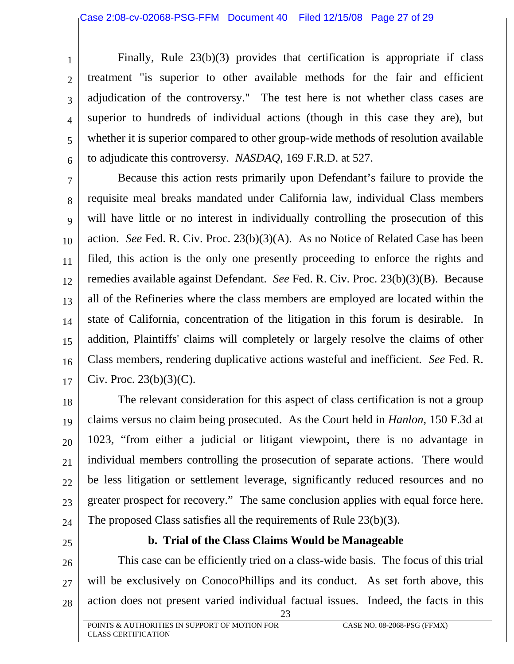Finally, Rule 23(b)(3) provides that certification is appropriate if class treatment "is superior to other available methods for the fair and efficient adjudication of the controversy." The test here is not whether class cases are superior to hundreds of individual actions (though in this case they are), but whether it is superior compared to other group-wide methods of resolution available to adjudicate this controversy. *NASDAQ*, 169 F.R.D. at 527.

7 8 9 10 11 12 13 14 15 16 17 Because this action rests primarily upon Defendant's failure to provide the requisite meal breaks mandated under California law, individual Class members will have little or no interest in individually controlling the prosecution of this action. *See* Fed. R. Civ. Proc. 23(b)(3)(A). As no Notice of Related Case has been filed, this action is the only one presently proceeding to enforce the rights and remedies available against Defendant. *See* Fed. R. Civ. Proc. 23(b)(3)(B). Because all of the Refineries where the class members are employed are located within the state of California, concentration of the litigation in this forum is desirable. In addition, Plaintiffs' claims will completely or largely resolve the claims of other Class members, rendering duplicative actions wasteful and inefficient. *See* Fed. R. Civ. Proc.  $23(b)(3)(C)$ .

18 19 20 21 22 23 24 The relevant consideration for this aspect of class certification is not a group claims versus no claim being prosecuted. As the Court held in *Hanlon*, 150 F.3d at 1023, "from either a judicial or litigant viewpoint, there is no advantage in individual members controlling the prosecution of separate actions. There would be less litigation or settlement leverage, significantly reduced resources and no greater prospect for recovery." The same conclusion applies with equal force here. The proposed Class satisfies all the requirements of Rule 23(b)(3).

25

<span id="page-26-0"></span>1

2

3

4

5

6

#### **b. Trial of the Class Claims Would be Manageable**

26 27 28 This case can be efficiently tried on a class-wide basis. The focus of this trial will be exclusively on ConocoPhillips and its conduct. As set forth above, this action does not present varied individual factual issues. Indeed, the facts in this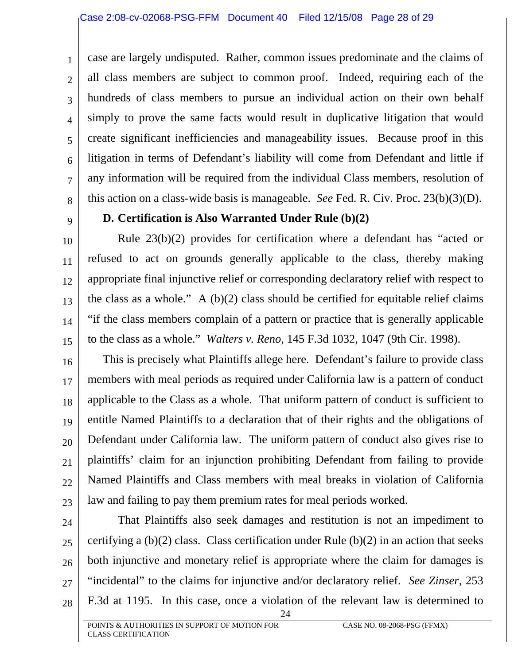3 4 5

6

7

8

<span id="page-27-0"></span>1

2

case are largely undisputed. Rather, common issues predominate and the claims of all class members are subject to common proof. Indeed, requiring each of the hundreds of class members to pursue an individual action on their own behalf simply to prove the same facts would result in duplicative litigation that would create significant inefficiencies and manageability issues. Because proof in this litigation in terms of Defendant's liability will come from Defendant and little if any information will be required from the individual Class members, resolution of this action on a class-wide basis is manageable. *See* Fed. R. Civ. Proc. 23(b)(3)(D).

9

10

11

12

13

14

15

# **D. Certification is Also Warranted Under Rule (b)(2)**

Rule 23(b)(2) provides for certification where a defendant has "acted or refused to act on grounds generally applicable to the class, thereby making appropriate final injunctive relief or corresponding declaratory relief with respect to the class as a whole." A  $(b)(2)$  class should be certified for equitable relief claims "if the class members complain of a pattern or practice that is generally applicable to the class as a whole." *Walters v. Reno*, 145 F.3d 1032, 1047 (9th Cir. 1998).

16 17 18 19 20 21 22 23 This is precisely what Plaintiffs allege here. Defendant's failure to provide class members with meal periods as required under California law is a pattern of conduct applicable to the Class as a whole. That uniform pattern of conduct is sufficient to entitle Named Plaintiffs to a declaration that of their rights and the obligations of Defendant under California law. The uniform pattern of conduct also gives rise to plaintiffs' claim for an injunction prohibiting Defendant from failing to provide Named Plaintiffs and Class members with meal breaks in violation of California law and failing to pay them premium rates for meal periods worked.

- 24
- 25 26

27

28

That Plaintiffs also seek damages and restitution is not an impediment to certifying a  $(b)(2)$  class. Class certification under Rule  $(b)(2)$  in an action that seeks both injunctive and monetary relief is appropriate where the claim for damages is "incidental" to the claims for injunctive and/or declaratory relief. *See Zinser*, 253 F.3d at 1195. In this case, once a violation of the relevant law is determined to

24

POINTS & AUTHORITIES IN SUPPORT OF MOTION FOR CASE NO. 08-2068-PSG (FFMX) CLASS CERTIFICATION